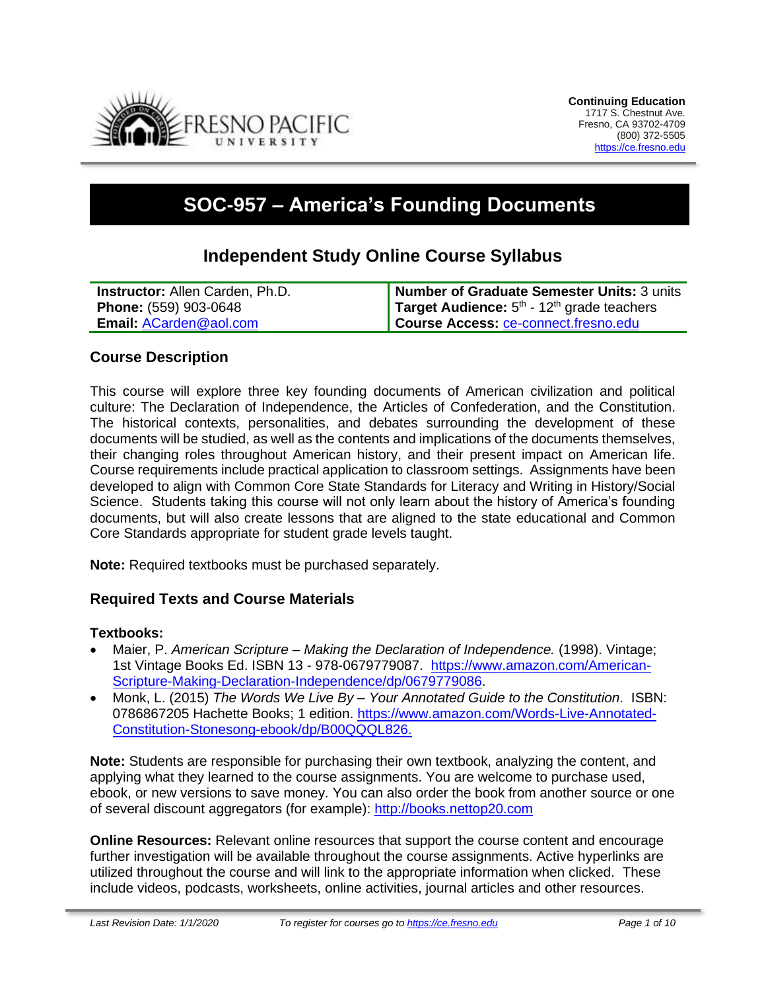

# **SOC-957 – America's Founding Documents**

# **Independent Study Online Course Syllabus**

| <b>Instructor:</b> Allen Carden, Ph.D. | Number of Graduate Semester Units: 3 units                      |
|----------------------------------------|-----------------------------------------------------------------|
| <b>Phone: (559) 903-0648</b>           | <b>Target Audience:</b> $5th$ - 12 <sup>th</sup> grade teachers |
| <b>Email: ACarden@aol.com</b>          | Course Access: ce-connect.fresno.edu                            |

### **Course Description**

This course will explore three key founding documents of American civilization and political culture: The Declaration of Independence, the Articles of Confederation, and the Constitution. The historical contexts, personalities, and debates surrounding the development of these documents will be studied, as well as the contents and implications of the documents themselves, their changing roles throughout American history, and their present impact on American life. Course requirements include practical application to classroom settings. Assignments have been developed to align with Common Core State Standards for Literacy and Writing in History/Social Science. Students taking this course will not only learn about the history of America's founding documents, but will also create lessons that are aligned to the state educational and Common Core Standards appropriate for student grade levels taught.

**Note:** Required textbooks must be purchased separately.

### **Required Texts and Course Materials**

#### **Textbooks:**

- Maier, P. *American Scripture – Making the Declaration of Independence.* (1998). Vintage; 1st Vintage Books Ed. ISBN 13 - 978-0679779087. [https://www.amazon.com/American-](https://www.amazon.com/American-Scripture-Making-Declaration-Independence/dp/0679779086)[Scripture-Making-Declaration-Independence/dp/0679779086.](https://www.amazon.com/American-Scripture-Making-Declaration-Independence/dp/0679779086)
- Monk, L. (2015) *The Words We Live By – Your Annotated Guide to the Constitution*. ISBN: 0786867205 Hachette Books; 1 edition. [https://www.amazon.com/Words-Live-Annotated-](https://www.amazon.com/Words-Live-Annotated-Constitution-Stonesong-ebook/dp/B00QQQL826.)[Constitution-Stonesong-ebook/dp/B00QQQL826.](https://www.amazon.com/Words-Live-Annotated-Constitution-Stonesong-ebook/dp/B00QQQL826.)

**Note:** Students are responsible for purchasing their own textbook, analyzing the content, and applying what they learned to the course assignments. You are welcome to purchase used, ebook, or new versions to save money. You can also order the book from another source or one of several discount aggregators (for example): [http://books.nettop20.com](http://books.nettop20.com/)

**Online Resources:** Relevant online resources that support the course content and encourage further investigation will be available throughout the course assignments. Active hyperlinks are utilized throughout the course and will link to the appropriate information when clicked. These include videos, podcasts, worksheets, online activities, journal articles and other resources.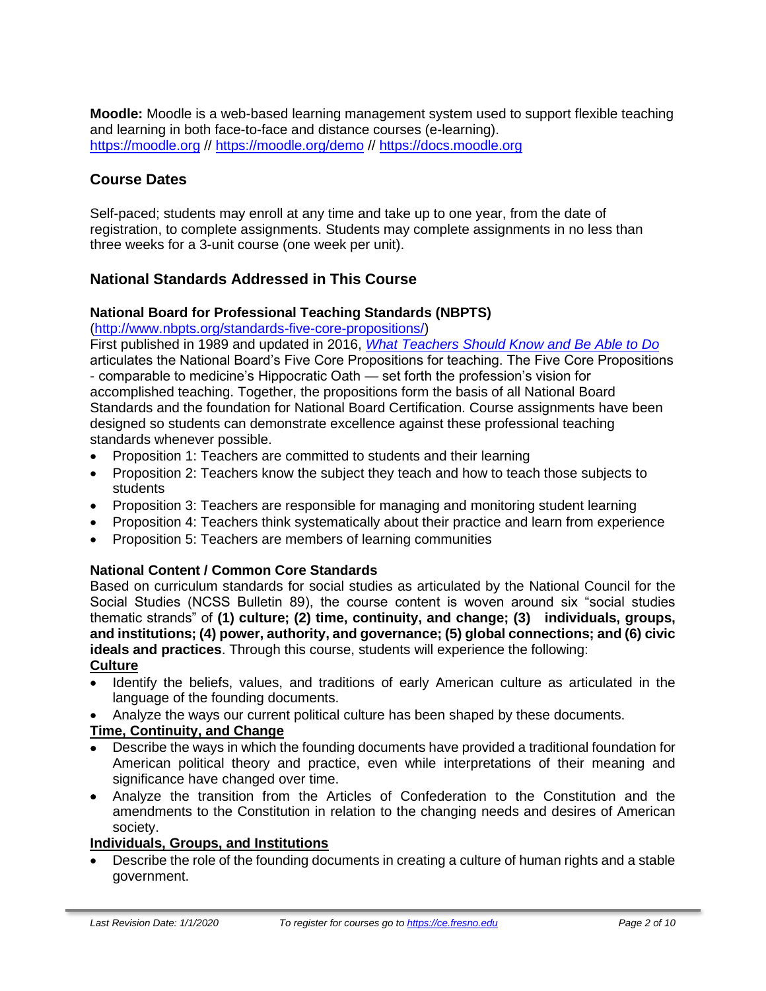**Moodle:** Moodle is a web-based learning management system used to support flexible teaching and learning in both face-to-face and distance courses (e-learning). [https://moodle.org](https://moodle.org/) //<https://moodle.org/demo> // [https://docs.moodle.org](https://docs.moodle.org/)

# **Course Dates**

Self-paced; students may enroll at any time and take up to one year, from the date of registration, to complete assignments. Students may complete assignments in no less than three weeks for a 3-unit course (one week per unit).

### **National Standards Addressed in This Course**

### **National Board for Professional Teaching Standards (NBPTS)**

[\(http://www.nbpts.org/standards-five-core-propositions/\)](http://www.nbpts.org/standards-five-core-propositions/)

First published in 1989 and updated in 2016, *[What Teachers Should Know and Be Able to Do](http://www.accomplishedteacher.org/)* articulates the National Board's Five Core Propositions for teaching. The Five Core Propositions - comparable to medicine's Hippocratic Oath — set forth the profession's vision for accomplished teaching. Together, the propositions form the basis of all National Board Standards and the foundation for National Board Certification. Course assignments have been

designed so students can demonstrate excellence against these professional teaching standards whenever possible.

- Proposition 1: Teachers are committed to students and their learning
- Proposition 2: Teachers know the subject they teach and how to teach those subjects to students
- Proposition 3: Teachers are responsible for managing and monitoring student learning
- Proposition 4: Teachers think systematically about their practice and learn from experience
- Proposition 5: Teachers are members of learning communities

### **National Content / Common Core Standards**

Based on curriculum standards for social studies as articulated by the National Council for the Social Studies (NCSS Bulletin 89), the course content is woven around six "social studies thematic strands" of **(1) culture; (2) time, continuity, and change; (3) individuals, groups, and institutions; (4) power, authority, and governance; (5) global connections; and (6) civic ideals and practices**. Through this course, students will experience the following: **Culture**

- Identify the beliefs, values, and traditions of early American culture as articulated in the language of the founding documents.
- Analyze the ways our current political culture has been shaped by these documents.

### **Time, Continuity, and Change**

- Describe the ways in which the founding documents have provided a traditional foundation for American political theory and practice, even while interpretations of their meaning and significance have changed over time.
- Analyze the transition from the Articles of Confederation to the Constitution and the amendments to the Constitution in relation to the changing needs and desires of American society.

### **Individuals, Groups, and Institutions**

• Describe the role of the founding documents in creating a culture of human rights and a stable government.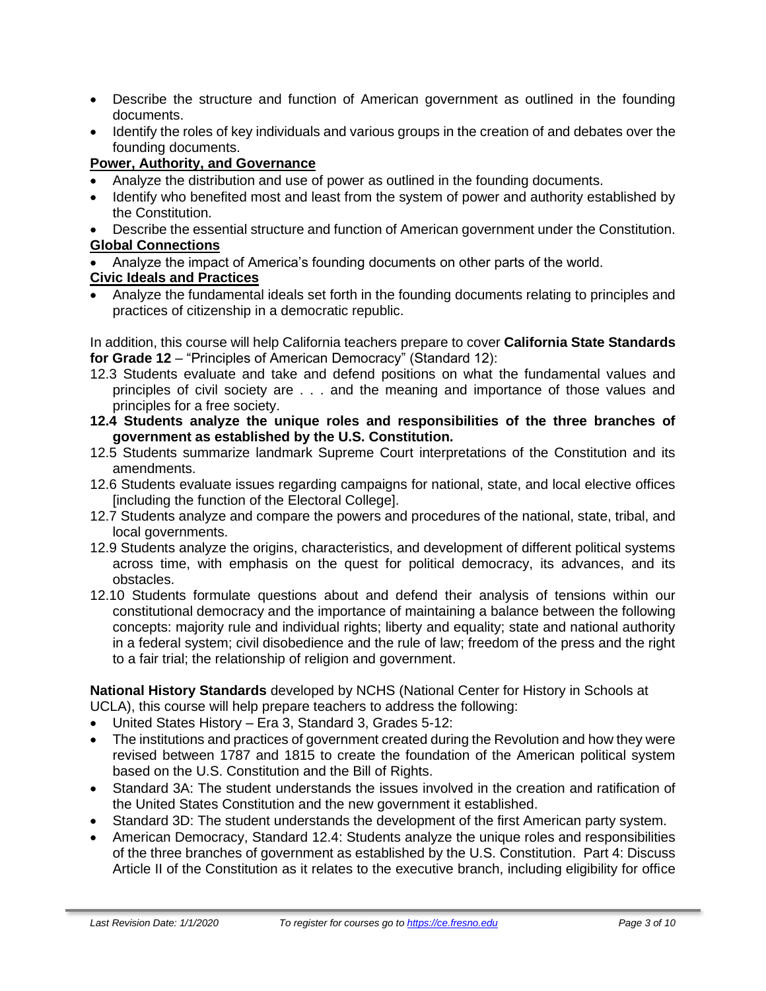- Describe the structure and function of American government as outlined in the founding documents.
- Identify the roles of key individuals and various groups in the creation of and debates over the founding documents.

### **Power, Authority, and Governance**

- Analyze the distribution and use of power as outlined in the founding documents.
- Identify who benefited most and least from the system of power and authority established by the Constitution.
- Describe the essential structure and function of American government under the Constitution. **Global Connections**
- Analyze the impact of America's founding documents on other parts of the world.

### **Civic Ideals and Practices**

• Analyze the fundamental ideals set forth in the founding documents relating to principles and practices of citizenship in a democratic republic.

In addition, this course will help California teachers prepare to cover **California State Standards for Grade 12** – "Principles of American Democracy" (Standard 12):

- 12.3 Students evaluate and take and defend positions on what the fundamental values and principles of civil society are . . . and the meaning and importance of those values and principles for a free society.
- **12.4 Students analyze the unique roles and responsibilities of the three branches of government as established by the U.S. Constitution.**
- 12.5 Students summarize landmark Supreme Court interpretations of the Constitution and its amendments.
- 12.6 Students evaluate issues regarding campaigns for national, state, and local elective offices [including the function of the Electoral College].
- 12.7 Students analyze and compare the powers and procedures of the national, state, tribal, and local governments.
- 12.9 Students analyze the origins, characteristics, and development of different political systems across time, with emphasis on the quest for political democracy, its advances, and its obstacles.
- 12.10 Students formulate questions about and defend their analysis of tensions within our constitutional democracy and the importance of maintaining a balance between the following concepts: majority rule and individual rights; liberty and equality; state and national authority in a federal system; civil disobedience and the rule of law; freedom of the press and the right to a fair trial; the relationship of religion and government.

**National History Standards** developed by NCHS (National Center for History in Schools at UCLA), this course will help prepare teachers to address the following:

- United States History Era 3, Standard 3, Grades 5-12:
- The institutions and practices of government created during the Revolution and how they were revised between 1787 and 1815 to create the foundation of the American political system based on the U.S. Constitution and the Bill of Rights.
- Standard 3A: The student understands the issues involved in the creation and ratification of the United States Constitution and the new government it established.
- Standard 3D: The student understands the development of the first American party system.
- American Democracy, Standard 12.4: Students analyze the unique roles and responsibilities of the three branches of government as established by the U.S. Constitution. Part 4: Discuss Article II of the Constitution as it relates to the executive branch, including eligibility for office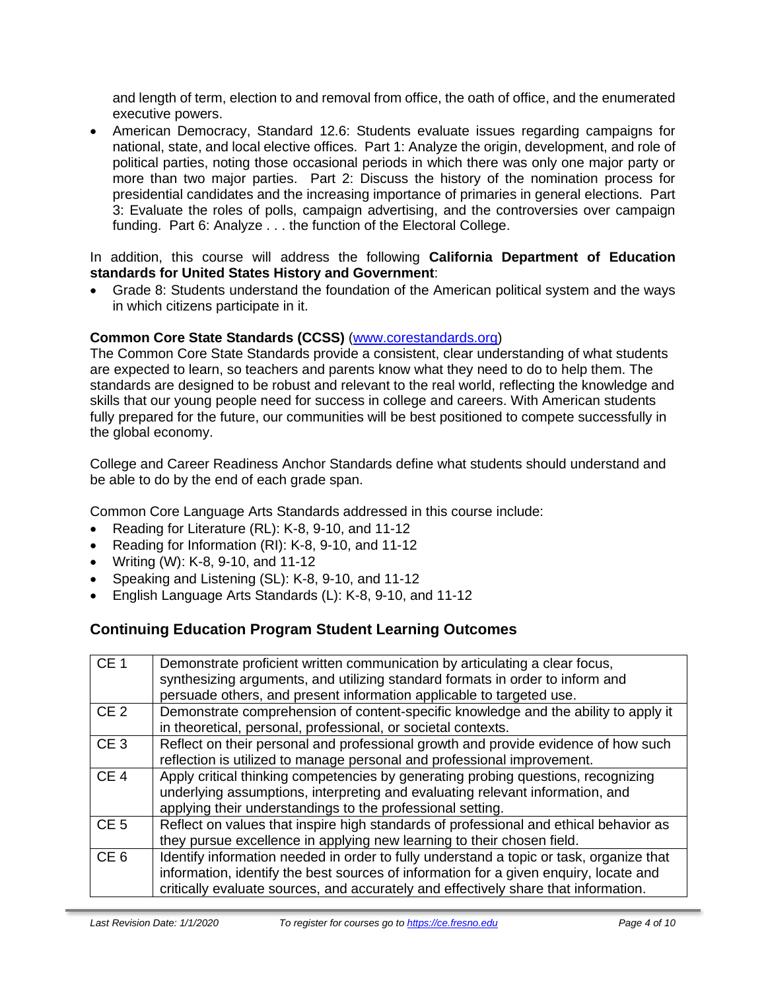and length of term, election to and removal from office, the oath of office, and the enumerated executive powers.

• American Democracy, Standard 12.6: Students evaluate issues regarding campaigns for national, state, and local elective offices. Part 1: Analyze the origin, development, and role of political parties, noting those occasional periods in which there was only one major party or more than two major parties. Part 2: Discuss the history of the nomination process for presidential candidates and the increasing importance of primaries in general elections. Part 3: Evaluate the roles of polls, campaign advertising, and the controversies over campaign funding. Part 6: Analyze . . . the function of the Electoral College.

In addition, this course will address the following **California Department of Education standards for United States History and Government**:

• Grade 8: Students understand the foundation of the American political system and the ways in which citizens participate in it.

### **Common Core State Standards (CCSS)** [\(www.corestandards.org\)](http://www.corestandards.org/)

The Common Core State Standards provide a consistent, clear understanding of what students are expected to learn, so teachers and parents know what they need to do to help them. The standards are designed to be robust and relevant to the real world, reflecting the knowledge and skills that our young people need for success in college and careers. With American students fully prepared for the future, our communities will be best positioned to compete successfully in the global economy.

College and Career Readiness Anchor Standards define what students should understand and be able to do by the end of each grade span.

Common Core Language Arts Standards addressed in this course include:

- Reading for Literature (RL): K-8, 9-10, and 11-12
- Reading for Information (RI): K-8, 9-10, and 11-12
- Writing (W): K-8, 9-10, and 11-12
- Speaking and Listening (SL): K-8, 9-10, and 11-12
- English Language Arts Standards (L): K-8, 9-10, and 11-12

# **Continuing Education Program Student Learning Outcomes**

| CE <sub>1</sub> | Demonstrate proficient written communication by articulating a clear focus,<br>synthesizing arguments, and utilizing standard formats in order to inform and<br>persuade others, and present information applicable to targeted use.                                    |
|-----------------|-------------------------------------------------------------------------------------------------------------------------------------------------------------------------------------------------------------------------------------------------------------------------|
| CE <sub>2</sub> | Demonstrate comprehension of content-specific knowledge and the ability to apply it<br>in theoretical, personal, professional, or societal contexts.                                                                                                                    |
| CE <sub>3</sub> | Reflect on their personal and professional growth and provide evidence of how such<br>reflection is utilized to manage personal and professional improvement.                                                                                                           |
| CE <sub>4</sub> | Apply critical thinking competencies by generating probing questions, recognizing<br>underlying assumptions, interpreting and evaluating relevant information, and<br>applying their understandings to the professional setting.                                        |
| CE <sub>5</sub> | Reflect on values that inspire high standards of professional and ethical behavior as<br>they pursue excellence in applying new learning to their chosen field.                                                                                                         |
| CE <sub>6</sub> | Identify information needed in order to fully understand a topic or task, organize that<br>information, identify the best sources of information for a given enquiry, locate and<br>critically evaluate sources, and accurately and effectively share that information. |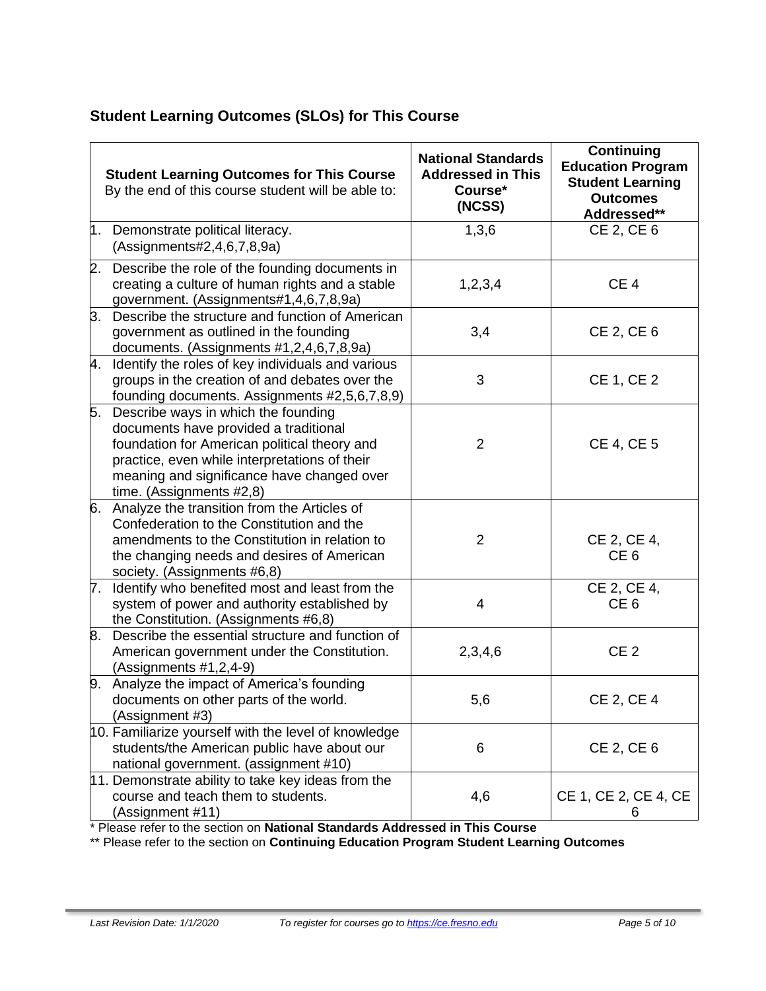# **Student Learning Outcomes (SLOs) for This Course**

|    | <b>Student Learning Outcomes for This Course</b><br>By the end of this course student will be able to:                                                                                                                                                  | <b>National Standards</b><br><b>Addressed in This</b><br>Course*<br>(NCSS) | <b>Continuing</b><br><b>Education Program</b><br><b>Student Learning</b><br><b>Outcomes</b><br>Addressed** |
|----|---------------------------------------------------------------------------------------------------------------------------------------------------------------------------------------------------------------------------------------------------------|----------------------------------------------------------------------------|------------------------------------------------------------------------------------------------------------|
| 1. | Demonstrate political literacy.<br>(Assignments#2,4,6,7,8,9a)                                                                                                                                                                                           | 1,3,6                                                                      | CE 2, CE 6                                                                                                 |
| 2. | Describe the role of the founding documents in<br>creating a culture of human rights and a stable<br>government. (Assignments#1,4,6,7,8,9a)                                                                                                             | 1,2,3,4                                                                    | CE <sub>4</sub>                                                                                            |
| З. | Describe the structure and function of American<br>government as outlined in the founding<br>documents. (Assignments #1,2,4,6,7,8,9a)                                                                                                                   | 3,4                                                                        | CE 2, CE 6                                                                                                 |
| 4. | Identify the roles of key individuals and various<br>groups in the creation of and debates over the<br>founding documents. Assignments #2,5,6,7,8,9)                                                                                                    | 3                                                                          | <b>CE 1, CE 2</b>                                                                                          |
| 5. | Describe ways in which the founding<br>documents have provided a traditional<br>foundation for American political theory and<br>practice, even while interpretations of their<br>meaning and significance have changed over<br>time. (Assignments #2,8) | 2                                                                          | <b>CE 4, CE 5</b>                                                                                          |
| 6. | Analyze the transition from the Articles of<br>Confederation to the Constitution and the<br>amendments to the Constitution in relation to<br>the changing needs and desires of American<br>society. (Assignments #6,8)                                  | $\overline{2}$                                                             | CE 2, CE 4,<br>CE <sub>6</sub>                                                                             |
|    | 7. Identify who benefited most and least from the<br>system of power and authority established by<br>the Constitution. (Assignments #6,8)                                                                                                               | 4                                                                          | CE 2, CE 4,<br>CE <sub>6</sub>                                                                             |
| 8. | Describe the essential structure and function of<br>American government under the Constitution.<br>(Assignments #1,2,4-9)                                                                                                                               | 2,3,4,6                                                                    | CE <sub>2</sub>                                                                                            |
|    | 9. Analyze the impact of America's founding<br>documents on other parts of the world.<br>(Assignment #3)                                                                                                                                                | 5,6                                                                        | CE 2, CE 4                                                                                                 |
|    | 10. Familiarize yourself with the level of knowledge<br>students/the American public have about our<br>national government. (assignment #10)                                                                                                            | 6                                                                          | CE 2, CE 6                                                                                                 |
|    | 11. Demonstrate ability to take key ideas from the<br>course and teach them to students.<br>(Assignment #11)                                                                                                                                            | 4,6                                                                        | CE 1, CE 2, CE 4, CE<br>6                                                                                  |

\* Please refer to the section on **National Standards Addressed in This Course**

\*\* Please refer to the section on **Continuing Education Program Student Learning Outcomes**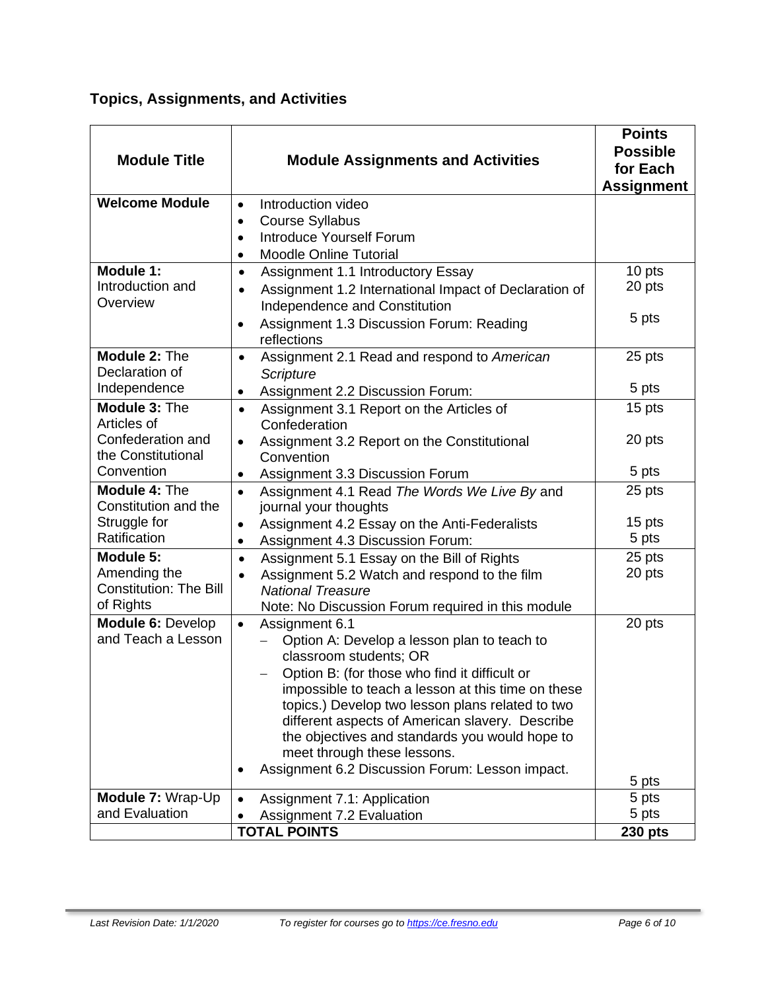# **Topics, Assignments, and Activities**

| <b>Module Title</b>              | <b>Module Assignments and Activities</b>                                | <b>Points</b><br><b>Possible</b><br>for Each<br><b>Assignment</b> |
|----------------------------------|-------------------------------------------------------------------------|-------------------------------------------------------------------|
| <b>Welcome Module</b>            | Introduction video<br>$\bullet$                                         |                                                                   |
|                                  | <b>Course Syllabus</b><br>$\bullet$                                     |                                                                   |
|                                  | <b>Introduce Yourself Forum</b><br>$\bullet$                            |                                                                   |
|                                  | <b>Moodle Online Tutorial</b><br>$\bullet$                              |                                                                   |
| Module 1:<br>Introduction and    | Assignment 1.1 Introductory Essay<br>$\bullet$                          | 10 pts<br>20 pts                                                  |
| Overview                         | Assignment 1.2 International Impact of Declaration of<br>$\bullet$      |                                                                   |
|                                  | Independence and Constitution                                           | 5 pts                                                             |
|                                  | Assignment 1.3 Discussion Forum: Reading<br>reflections                 |                                                                   |
| Module 2: The                    | Assignment 2.1 Read and respond to American<br>$\bullet$                | 25 pts                                                            |
| Declaration of                   | Scripture                                                               |                                                                   |
| Independence                     | Assignment 2.2 Discussion Forum:                                        | 5 pts                                                             |
| Module 3: The                    | Assignment 3.1 Report on the Articles of<br>$\bullet$                   | 15 pts                                                            |
| Articles of                      | Confederation                                                           |                                                                   |
| Confederation and                | Assignment 3.2 Report on the Constitutional<br>$\bullet$                | 20 pts                                                            |
| the Constitutional<br>Convention | Convention                                                              |                                                                   |
| <b>Module 4: The</b>             | Assignment 3.3 Discussion Forum<br>$\bullet$                            | 5 pts                                                             |
| Constitution and the             | Assignment 4.1 Read The Words We Live By and<br>journal your thoughts   | 25 pts                                                            |
| Struggle for                     | Assignment 4.2 Essay on the Anti-Federalists<br>$\bullet$               | 15 pts                                                            |
| Ratification                     | Assignment 4.3 Discussion Forum:<br>$\bullet$                           | 5 pts                                                             |
| Module 5:                        | Assignment 5.1 Essay on the Bill of Rights<br>$\bullet$                 | 25 pts                                                            |
| Amending the                     | Assignment 5.2 Watch and respond to the film<br>$\bullet$               | 20 pts                                                            |
| <b>Constitution: The Bill</b>    | <b>National Treasure</b>                                                |                                                                   |
| of Rights                        | Note: No Discussion Forum required in this module                       |                                                                   |
| Module 6: Develop                | $\bullet$<br>Assignment 6.1                                             | 20 pts                                                            |
| and Teach a Lesson               | Option A: Develop a lesson plan to teach to                             |                                                                   |
|                                  | classroom students; OR<br>Option B: (for those who find it difficult or |                                                                   |
|                                  | impossible to teach a lesson at this time on these                      |                                                                   |
|                                  | topics.) Develop two lesson plans related to two                        |                                                                   |
|                                  | different aspects of American slavery. Describe                         |                                                                   |
|                                  | the objectives and standards you would hope to                          |                                                                   |
|                                  | meet through these lessons.                                             |                                                                   |
|                                  | Assignment 6.2 Discussion Forum: Lesson impact.                         | 5 pts                                                             |
| Module 7: Wrap-Up                | Assignment 7.1: Application                                             | 5 pts                                                             |
| and Evaluation                   | Assignment 7.2 Evaluation                                               | 5 pts                                                             |
|                                  | <b>TOTAL POINTS</b>                                                     | <b>230 pts</b>                                                    |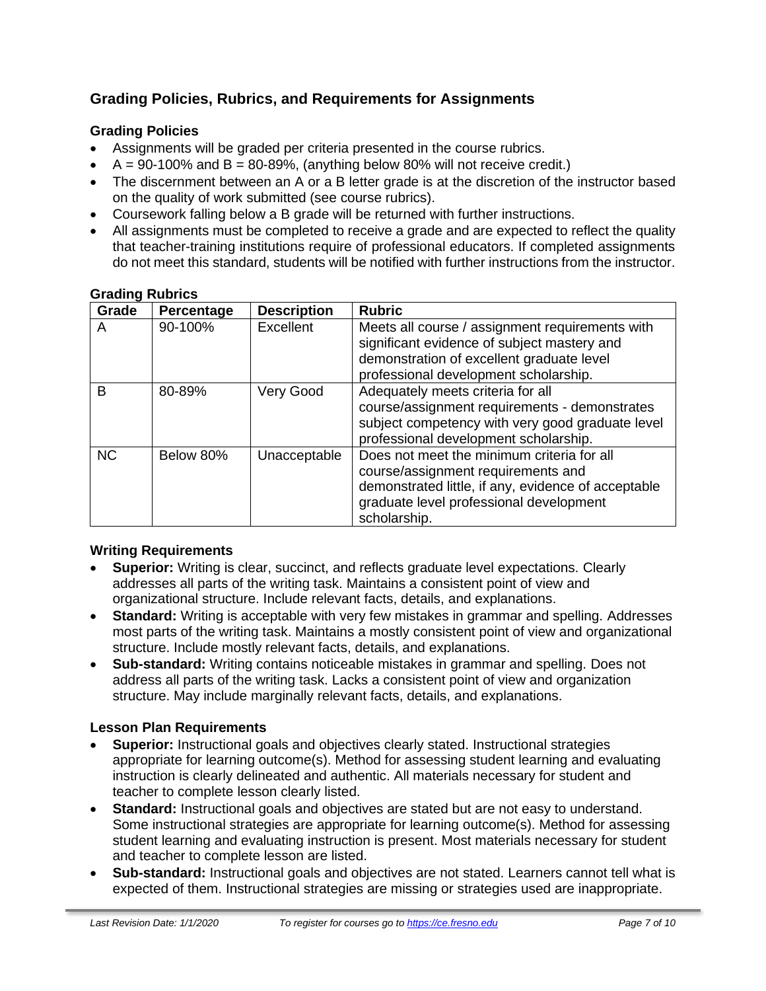# **Grading Policies, Rubrics, and Requirements for Assignments**

### **Grading Policies**

- Assignments will be graded per criteria presented in the course rubrics.
- $A = 90-100\%$  and  $B = 80-89\%$ , (anything below 80% will not receive credit.)
- The discernment between an A or a B letter grade is at the discretion of the instructor based on the quality of work submitted (see course rubrics).
- Coursework falling below a B grade will be returned with further instructions.
- All assignments must be completed to receive a grade and are expected to reflect the quality that teacher-training institutions require of professional educators. If completed assignments do not meet this standard, students will be notified with further instructions from the instructor.

| Grade     | Percentage | <b>Description</b> | <b>Rubric</b>                                                                                                                                                                                      |
|-----------|------------|--------------------|----------------------------------------------------------------------------------------------------------------------------------------------------------------------------------------------------|
| A         | 90-100%    | Excellent          | Meets all course / assignment requirements with<br>significant evidence of subject mastery and<br>demonstration of excellent graduate level<br>professional development scholarship.               |
| B         | 80-89%     | Very Good          | Adequately meets criteria for all<br>course/assignment requirements - demonstrates<br>subject competency with very good graduate level<br>professional development scholarship.                    |
| <b>NC</b> | Below 80%  | Unacceptable       | Does not meet the minimum criteria for all<br>course/assignment requirements and<br>demonstrated little, if any, evidence of acceptable<br>graduate level professional development<br>scholarship. |

### **Grading Rubrics**

### **Writing Requirements**

- **Superior:** Writing is clear, succinct, and reflects graduate level expectations. Clearly addresses all parts of the writing task. Maintains a consistent point of view and organizational structure. Include relevant facts, details, and explanations.
- **Standard:** Writing is acceptable with very few mistakes in grammar and spelling. Addresses most parts of the writing task. Maintains a mostly consistent point of view and organizational structure. Include mostly relevant facts, details, and explanations.
- **Sub-standard:** Writing contains noticeable mistakes in grammar and spelling. Does not address all parts of the writing task. Lacks a consistent point of view and organization structure. May include marginally relevant facts, details, and explanations.

### **Lesson Plan Requirements**

- **Superior:** Instructional goals and objectives clearly stated. Instructional strategies appropriate for learning outcome(s). Method for assessing student learning and evaluating instruction is clearly delineated and authentic. All materials necessary for student and teacher to complete lesson clearly listed.
- **Standard:** Instructional goals and objectives are stated but are not easy to understand. Some instructional strategies are appropriate for learning outcome(s). Method for assessing student learning and evaluating instruction is present. Most materials necessary for student and teacher to complete lesson are listed.
- **Sub-standard:** Instructional goals and objectives are not stated. Learners cannot tell what is expected of them. Instructional strategies are missing or strategies used are inappropriate.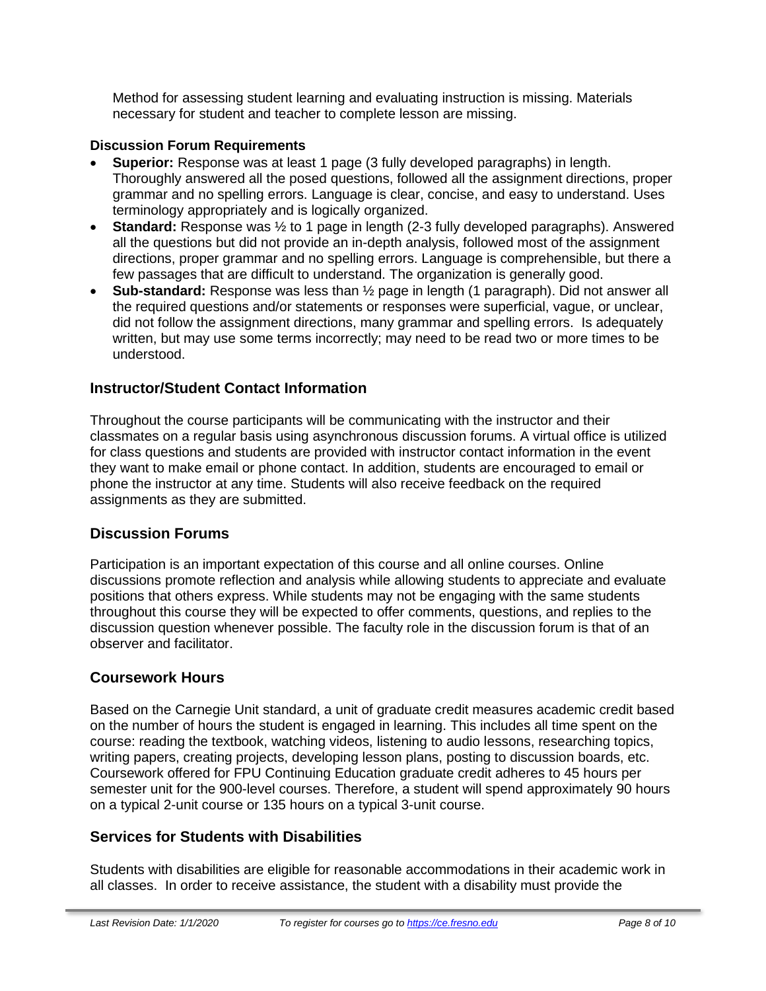Method for assessing student learning and evaluating instruction is missing. Materials necessary for student and teacher to complete lesson are missing.

### **Discussion Forum Requirements**

- **Superior:** Response was at least 1 page (3 fully developed paragraphs) in length. Thoroughly answered all the posed questions, followed all the assignment directions, proper grammar and no spelling errors. Language is clear, concise, and easy to understand. Uses terminology appropriately and is logically organized.
- **Standard:** Response was ½ to 1 page in length (2-3 fully developed paragraphs). Answered all the questions but did not provide an in-depth analysis, followed most of the assignment directions, proper grammar and no spelling errors. Language is comprehensible, but there a few passages that are difficult to understand. The organization is generally good.
- **Sub-standard:** Response was less than ½ page in length (1 paragraph). Did not answer all the required questions and/or statements or responses were superficial, vague, or unclear, did not follow the assignment directions, many grammar and spelling errors. Is adequately written, but may use some terms incorrectly; may need to be read two or more times to be understood.

### **Instructor/Student Contact Information**

Throughout the course participants will be communicating with the instructor and their classmates on a regular basis using asynchronous discussion forums. A virtual office is utilized for class questions and students are provided with instructor contact information in the event they want to make email or phone contact. In addition, students are encouraged to email or phone the instructor at any time. Students will also receive feedback on the required assignments as they are submitted.

### **Discussion Forums**

Participation is an important expectation of this course and all online courses. Online discussions promote reflection and analysis while allowing students to appreciate and evaluate positions that others express. While students may not be engaging with the same students throughout this course they will be expected to offer comments, questions, and replies to the discussion question whenever possible. The faculty role in the discussion forum is that of an observer and facilitator.

### **Coursework Hours**

Based on the Carnegie Unit standard, a unit of graduate credit measures academic credit based on the number of hours the student is engaged in learning. This includes all time spent on the course: reading the textbook, watching videos, listening to audio lessons, researching topics, writing papers, creating projects, developing lesson plans, posting to discussion boards, etc. Coursework offered for FPU Continuing Education graduate credit adheres to 45 hours per semester unit for the 900-level courses. Therefore, a student will spend approximately 90 hours on a typical 2-unit course or 135 hours on a typical 3-unit course.

### **Services for Students with Disabilities**

Students with disabilities are eligible for reasonable accommodations in their academic work in all classes. In order to receive assistance, the student with a disability must provide the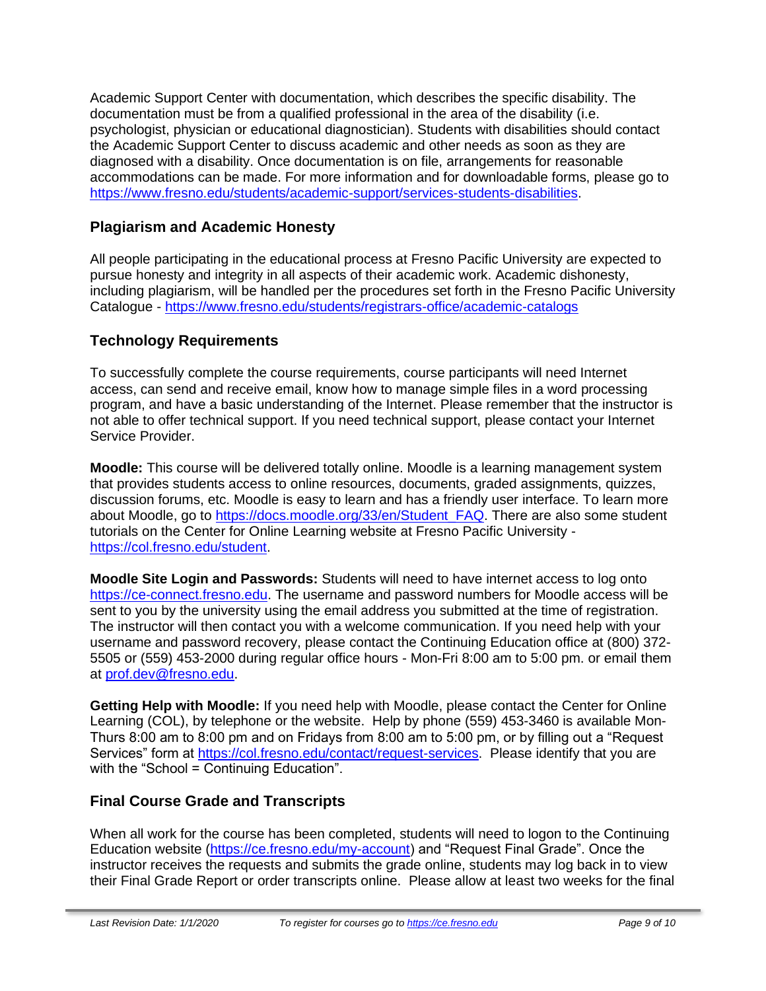Academic Support Center with documentation, which describes the specific disability. The documentation must be from a qualified professional in the area of the disability (i.e. psychologist, physician or educational diagnostician). Students with disabilities should contact the Academic Support Center to discuss academic and other needs as soon as they are diagnosed with a disability. Once documentation is on file, arrangements for reasonable accommodations can be made. For more information and for downloadable forms, please go to [https://www.fresno.edu/students/academic-support/services-students-disabilities.](https://www.fresno.edu/students/academic-support/services-students-disabilities)

### **Plagiarism and Academic Honesty**

All people participating in the educational process at Fresno Pacific University are expected to pursue honesty and integrity in all aspects of their academic work. Academic dishonesty, including plagiarism, will be handled per the procedures set forth in the Fresno Pacific University Catalogue - <https://www.fresno.edu/students/registrars-office/academic-catalogs>

# **Technology Requirements**

To successfully complete the course requirements, course participants will need Internet access, can send and receive email, know how to manage simple files in a word processing program, and have a basic understanding of the Internet. Please remember that the instructor is not able to offer technical support. If you need technical support, please contact your Internet Service Provider.

**Moodle:** This course will be delivered totally online. Moodle is a learning management system that provides students access to online resources, documents, graded assignments, quizzes, discussion forums, etc. Moodle is easy to learn and has a friendly user interface. To learn more about Moodle, go to [https://docs.moodle.org/33/en/Student\\_FAQ.](https://docs.moodle.org/33/en/Student_FAQ) There are also some student tutorials on the Center for Online Learning website at Fresno Pacific University [https://col.fresno.edu/student.](https://col.fresno.edu/student)

**Moodle Site Login and Passwords:** Students will need to have internet access to log onto [https://ce-connect.fresno.edu.](https://ce-connect.fresno.edu/) The username and password numbers for Moodle access will be sent to you by the university using the email address you submitted at the time of registration. The instructor will then contact you with a welcome communication. If you need help with your username and password recovery, please contact the Continuing Education office at (800) 372- 5505 or (559) 453-2000 during regular office hours - Mon-Fri 8:00 am to 5:00 pm. or email them at [prof.dev@fresno.edu.](mailto:prof.dev@fresno.edu)

**Getting Help with Moodle:** If you need help with Moodle, please contact the Center for Online Learning (COL), by telephone or the website. Help by phone (559) 453-3460 is available Mon-Thurs 8:00 am to 8:00 pm and on Fridays from 8:00 am to 5:00 pm, or by filling out a "Request Services" form at [https://col.fresno.edu/contact/request-services.](https://col.fresno.edu/contact/request-services) Please identify that you are with the "School = Continuing Education".

# **Final Course Grade and Transcripts**

When all work for the course has been completed, students will need to logon to the Continuing Education website [\(https://ce.fresno.edu/my-account\)](https://ce.fresno.edu/my-account) and "Request Final Grade". Once the instructor receives the requests and submits the grade online, students may log back in to view their Final Grade Report or order transcripts online. Please allow at least two weeks for the final